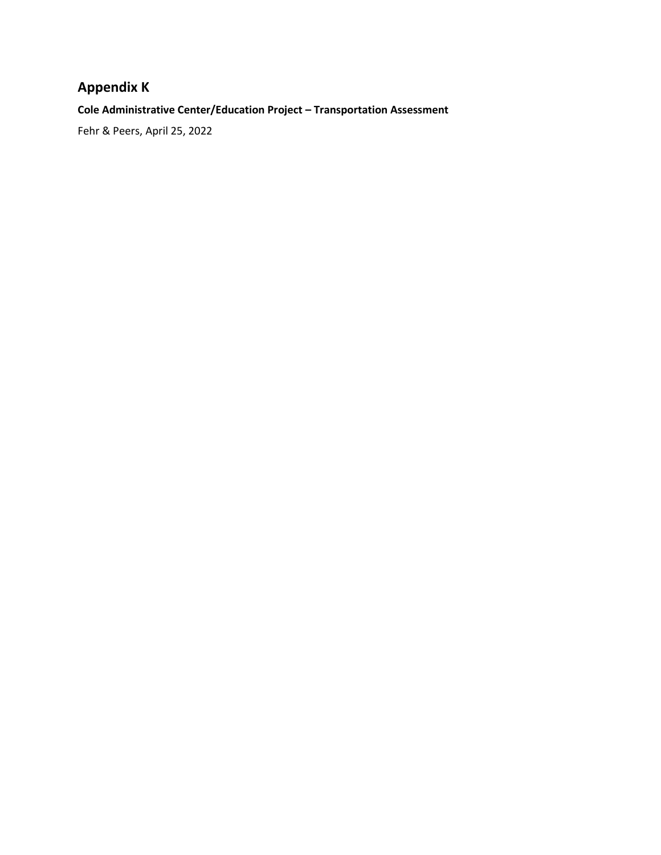## **Appendix K**

**Cole Administrative Center/Education Project – Transportation Assessment**

Fehr & Peers, April 25, 2022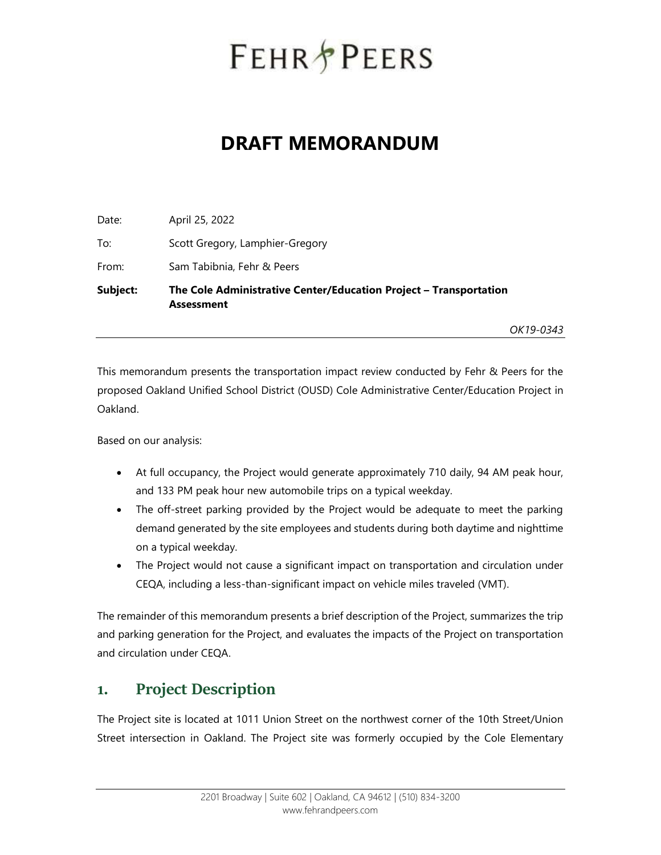# **FEHR PEERS**

## **DRAFT MEMORANDUM**

| Subject: | The Cole Administrative Center/Education Project - Transportation<br><b>Assessment</b> |
|----------|----------------------------------------------------------------------------------------|
| From:    | Sam Tabibnia, Fehr & Peers                                                             |
| To:      | Scott Gregory, Lamphier-Gregory                                                        |
| Date:    | April 25, 2022                                                                         |

*OK19-0343*

This memorandum presents the transportation impact review conducted by Fehr & Peers for the proposed Oakland Unified School District (OUSD) Cole Administrative Center/Education Project in Oakland.

Based on our analysis:

- At full occupancy, the Project would generate approximately 710 daily, 94 AM peak hour, and 133 PM peak hour new automobile trips on a typical weekday.
- The off-street parking provided by the Project would be adequate to meet the parking demand generated by the site employees and students during both daytime and nighttime on a typical weekday.
- The Project would not cause a significant impact on transportation and circulation under CEQA, including a less-than-significant impact on vehicle miles traveled (VMT).

The remainder of this memorandum presents a brief description of the Project, summarizes the trip and parking generation for the Project, and evaluates the impacts of the Project on transportation and circulation under CEQA.

#### **1. Project Description**

The Project site is located at 1011 Union Street on the northwest corner of the 10th Street/Union Street intersection in Oakland. The Project site was formerly occupied by the Cole Elementary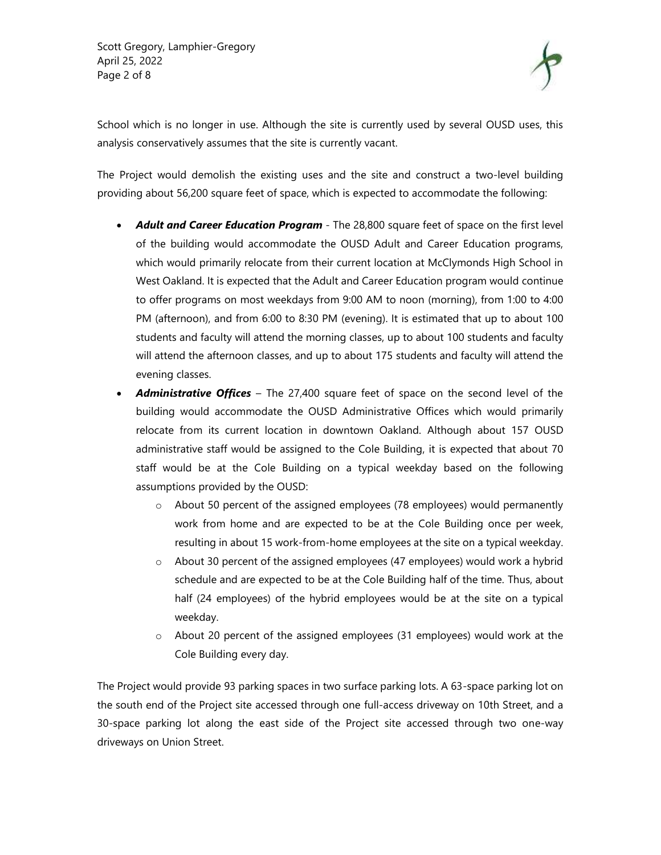

School which is no longer in use. Although the site is currently used by several OUSD uses, this analysis conservatively assumes that the site is currently vacant.

The Project would demolish the existing uses and the site and construct a two-level building providing about 56,200 square feet of space, which is expected to accommodate the following:

- *Adult and Career Education Program*  The 28,800 square feet of space on the first level of the building would accommodate the OUSD Adult and Career Education programs, which would primarily relocate from their current location at McClymonds High School in West Oakland. It is expected that the Adult and Career Education program would continue to offer programs on most weekdays from 9:00 AM to noon (morning), from 1:00 to 4:00 PM (afternoon), and from 6:00 to 8:30 PM (evening). It is estimated that up to about 100 students and faculty will attend the morning classes, up to about 100 students and faculty will attend the afternoon classes, and up to about 175 students and faculty will attend the evening classes.
- *Administrative Offices* The 27,400 square feet of space on the second level of the building would accommodate the OUSD Administrative Offices which would primarily relocate from its current location in downtown Oakland. Although about 157 OUSD administrative staff would be assigned to the Cole Building, it is expected that about 70 staff would be at the Cole Building on a typical weekday based on the following assumptions provided by the OUSD:
	- o About 50 percent of the assigned employees (78 employees) would permanently work from home and are expected to be at the Cole Building once per week, resulting in about 15 work-from-home employees at the site on a typical weekday.
	- o About 30 percent of the assigned employees (47 employees) would work a hybrid schedule and are expected to be at the Cole Building half of the time. Thus, about half (24 employees) of the hybrid employees would be at the site on a typical weekday.
	- o About 20 percent of the assigned employees (31 employees) would work at the Cole Building every day.

The Project would provide 93 parking spaces in two surface parking lots. A 63-space parking lot on the south end of the Project site accessed through one full-access driveway on 10th Street, and a 30-space parking lot along the east side of the Project site accessed through two one-way driveways on Union Street.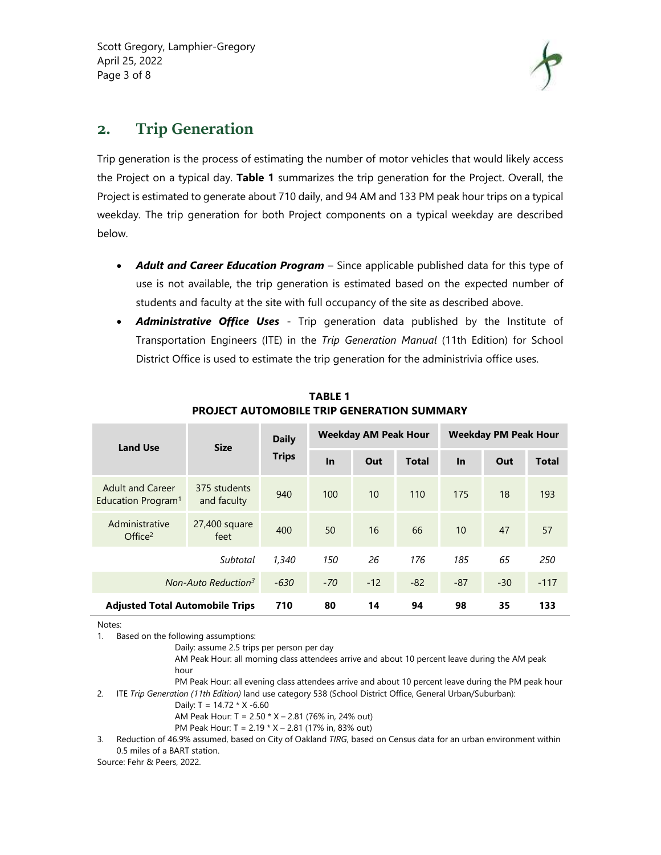

### **2. Trip Generation**

Trip generation is the process of estimating the number of motor vehicles that would likely access the Project on a typical day. **Table 1** summarizes the trip generation for the Project. Overall, the Project is estimated to generate about 710 daily, and 94 AM and 133 PM peak hour trips on a typical weekday. The trip generation for both Project components on a typical weekday are described below.

- *Adult and Career Education Program* Since applicable published data for this type of use is not available, the trip generation is estimated based on the expected number of students and faculty at the site with full occupancy of the site as described above.
- *Administrative Office Uses* Trip generation data published by the Institute of Transportation Engineers (ITE) in the *Trip Generation Manual* (11th Edition) for School District Office is used to estimate the trip generation for the administrivia office uses.

| <b>Land Use</b>                                           | <b>Size</b>                 | <b>Daily</b><br><b>Trips</b> | Weekday AM Peak Hour |       |              | <b>Weekday PM Peak Hour</b> |       |              |
|-----------------------------------------------------------|-----------------------------|------------------------------|----------------------|-------|--------------|-----------------------------|-------|--------------|
|                                                           |                             |                              | In                   | Out   | <b>Total</b> | In                          | Out   | <b>Total</b> |
| <b>Adult and Career</b><br>Education Program <sup>1</sup> | 375 students<br>and faculty | 940                          | 100                  | 10    | 110          | 175                         | 18    | 193          |
| Administrative<br>Office <sup>2</sup>                     | 27,400 square<br>feet       | 400                          | 50                   | 16    | 66           | 10                          | 47    | 57           |
| Subtotal                                                  |                             | 1,340                        | 150                  | 26    | 176          | 185                         | 65    | 250          |
| Non-Auto Reduction <sup>3</sup>                           |                             | $-630$                       | $-70$                | $-12$ | $-82$        | $-87$                       | $-30$ | $-117$       |
| <b>Adjusted Total Automobile Trips</b>                    | 710                         | 80                           | 14                   | 94    | 98           | 35                          | 133   |              |

**TABLE 1 PROJECT AUTOMOBILE TRIP GENERATION SUMMARY**

Notes:

1. Based on the following assumptions:

Daily: assume 2.5 trips per person per day

AM Peak Hour: all morning class attendees arrive and about 10 percent leave during the AM peak hour

PM Peak Hour: all evening class attendees arrive and about 10 percent leave during the PM peak hour 2. ITE *Trip Generation (11th Edition)* land use category 538 (School District Office, General Urban/Suburban):

Daily: T = 14.72 \* X -6.60

AM Peak Hour: T = 2.50 \* X – 2.81 (76% in, 24% out)

PM Peak Hour: T = 2.19 \* X – 2.81 (17% in, 83% out)

3. Reduction of 46.9% assumed, based on City of Oakland *TIRG*, based on Census data for an urban environment within 0.5 miles of a BART station.

Source: Fehr & Peers, 2022.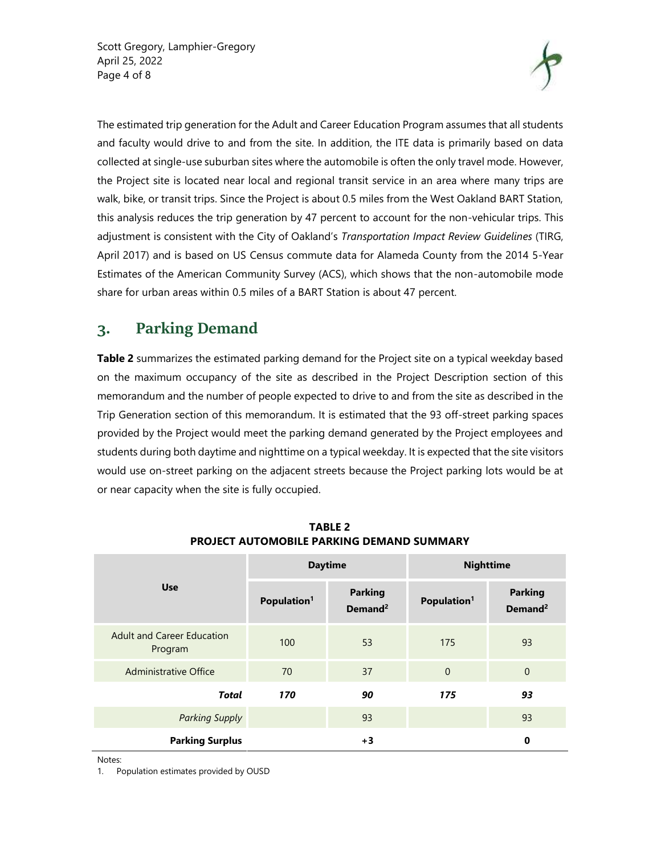Scott Gregory, Lamphier-Gregory April 25, 2022 Page 4 of 8



The estimated trip generation for the Adult and Career Education Program assumes that all students and faculty would drive to and from the site. In addition, the ITE data is primarily based on data collected at single-use suburban sites where the automobile is often the only travel mode. However, the Project site is located near local and regional transit service in an area where many trips are walk, bike, or transit trips. Since the Project is about 0.5 miles from the West Oakland BART Station, this analysis reduces the trip generation by 47 percent to account for the non-vehicular trips. This adjustment is consistent with the City of Oakland's *Transportation Impact Review Guidelines* (TIRG, April 2017) and is based on US Census commute data for Alameda County from the 2014 5-Year Estimates of the American Community Survey (ACS), which shows that the non-automobile mode share for urban areas within 0.5 miles of a BART Station is about 47 percent.

## **3. Parking Demand**

**Table 2** summarizes the estimated parking demand for the Project site on a typical weekday based on the maximum occupancy of the site as described in the Project Description section of this memorandum and the number of people expected to drive to and from the site as described in the Trip Generation section of this memorandum. It is estimated that the 93 off-street parking spaces provided by the Project would meet the parking demand generated by the Project employees and students during both daytime and nighttime on a typical weekday. It is expected that the site visitors would use on-street parking on the adjacent streets because the Project parking lots would be at or near capacity when the site is fully occupied.

|                                              |                         | <b>Daytime</b>                        | <b>Nighttime</b>        |                                       |  |
|----------------------------------------------|-------------------------|---------------------------------------|-------------------------|---------------------------------------|--|
| <b>Use</b>                                   | Population <sup>1</sup> | <b>Parking</b><br>Demand <sup>2</sup> | Population <sup>1</sup> | <b>Parking</b><br>Demand <sup>2</sup> |  |
| <b>Adult and Career Education</b><br>Program | 100                     | 53                                    | 175                     | 93                                    |  |
| <b>Administrative Office</b>                 | 70                      | 37                                    | $\overline{0}$          | $\mathbf 0$                           |  |
| <b>Total</b>                                 | 170                     | 90                                    | 175                     | 93                                    |  |
| <b>Parking Supply</b>                        |                         | 93                                    |                         | 93                                    |  |
| <b>Parking Surplus</b>                       |                         | $+3$                                  |                         | 0                                     |  |

**TABLE 2 PROJECT AUTOMOBILE PARKING DEMAND SUMMARY**

Notes:

1. Population estimates provided by OUSD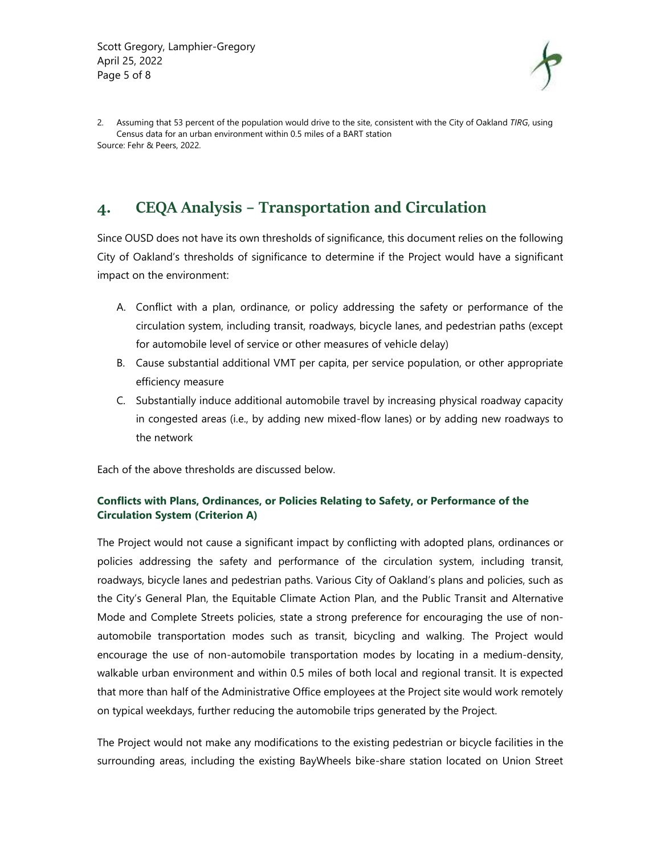

2. Assuming that 53 percent of the population would drive to the site, consistent with the City of Oakland *TIRG*, using Census data for an urban environment within 0.5 miles of a BART station Source: Fehr & Peers, 2022.

## **4. CEQA Analysis – Transportation and Circulation**

Since OUSD does not have its own thresholds of significance, this document relies on the following City of Oakland's thresholds of significance to determine if the Project would have a significant impact on the environment:

- A. Conflict with a plan, ordinance, or policy addressing the safety or performance of the circulation system, including transit, roadways, bicycle lanes, and pedestrian paths (except for automobile level of service or other measures of vehicle delay)
- B. Cause substantial additional VMT per capita, per service population, or other appropriate efficiency measure
- C. Substantially induce additional automobile travel by increasing physical roadway capacity in congested areas (i.e., by adding new mixed-flow lanes) or by adding new roadways to the network

Each of the above thresholds are discussed below.

#### **Conflicts with Plans, Ordinances, or Policies Relating to Safety, or Performance of the Circulation System (Criterion A)**

The Project would not cause a significant impact by conflicting with adopted plans, ordinances or policies addressing the safety and performance of the circulation system, including transit, roadways, bicycle lanes and pedestrian paths. Various City of Oakland's plans and policies, such as the City's General Plan, the Equitable Climate Action Plan, and the Public Transit and Alternative Mode and Complete Streets policies, state a strong preference for encouraging the use of non‐ automobile transportation modes such as transit, bicycling and walking. The Project would encourage the use of non‐automobile transportation modes by locating in a medium-density, walkable urban environment and within 0.5 miles of both local and regional transit. It is expected that more than half of the Administrative Office employees at the Project site would work remotely on typical weekdays, further reducing the automobile trips generated by the Project.

The Project would not make any modifications to the existing pedestrian or bicycle facilities in the surrounding areas, including the existing BayWheels bike-share station located on Union Street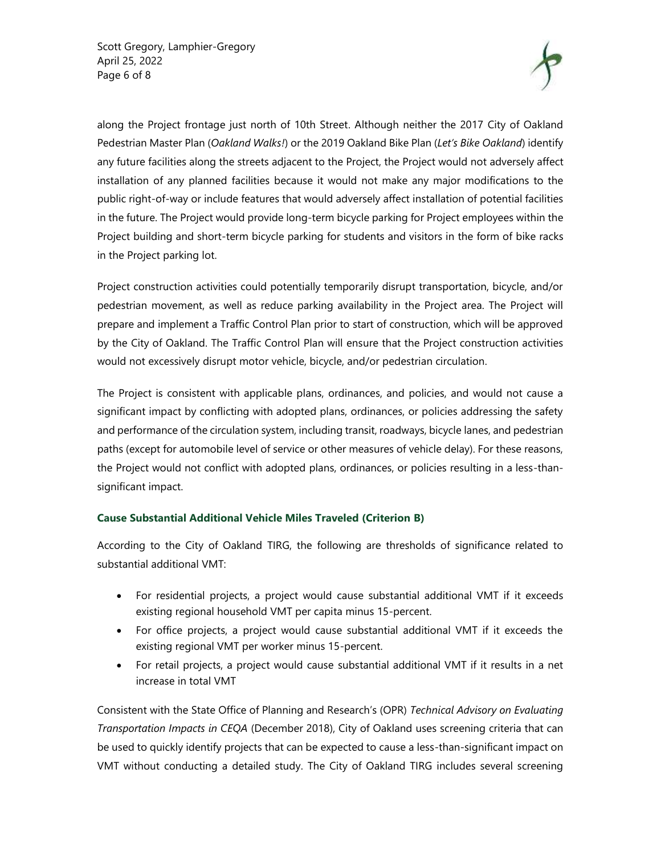Scott Gregory, Lamphier-Gregory April 25, 2022 Page 6 of 8



along the Project frontage just north of 10th Street. Although neither the 2017 City of Oakland Pedestrian Master Plan (*Oakland Walks!*) or the 2019 Oakland Bike Plan (*Let's Bike Oakland*) identify any future facilities along the streets adjacent to the Project, the Project would not adversely affect installation of any planned facilities because it would not make any major modifications to the public right-of-way or include features that would adversely affect installation of potential facilities in the future. The Project would provide long‐term bicycle parking for Project employees within the Project building and short-term bicycle parking for students and visitors in the form of bike racks in the Project parking lot.

Project construction activities could potentially temporarily disrupt transportation, bicycle, and/or pedestrian movement, as well as reduce parking availability in the Project area. The Project will prepare and implement a Traffic Control Plan prior to start of construction, which will be approved by the City of Oakland. The Traffic Control Plan will ensure that the Project construction activities would not excessively disrupt motor vehicle, bicycle, and/or pedestrian circulation.

The Project is consistent with applicable plans, ordinances, and policies, and would not cause a significant impact by conflicting with adopted plans, ordinances, or policies addressing the safety and performance of the circulation system, including transit, roadways, bicycle lanes, and pedestrian paths (except for automobile level of service or other measures of vehicle delay). For these reasons, the Project would not conflict with adopted plans, ordinances, or policies resulting in a less-thansignificant impact.

#### **Cause Substantial Additional Vehicle Miles Traveled (Criterion B)**

According to the City of Oakland TIRG, the following are thresholds of significance related to substantial additional VMT:

- For residential projects, a project would cause substantial additional VMT if it exceeds existing regional household VMT per capita minus 15-percent.
- For office projects, a project would cause substantial additional VMT if it exceeds the existing regional VMT per worker minus 15-percent.
- For retail projects, a project would cause substantial additional VMT if it results in a net increase in total VMT

Consistent with the State Office of Planning and Research's (OPR) *Technical Advisory on Evaluating Transportation Impacts in CEQA* (December 2018), City of Oakland uses screening criteria that can be used to quickly identify projects that can be expected to cause a less-than-significant impact on VMT without conducting a detailed study. The City of Oakland TIRG includes several screening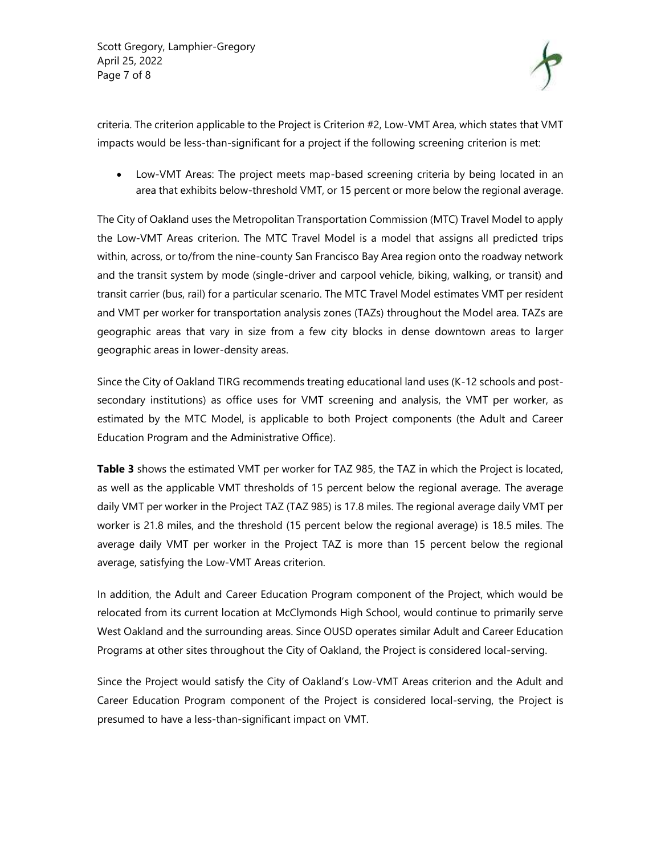Scott Gregory, Lamphier-Gregory April 25, 2022 Page 7 of 8



criteria. The criterion applicable to the Project is Criterion #2, Low-VMT Area, which states that VMT impacts would be less-than-significant for a project if the following screening criterion is met:

 Low-VMT Areas: The project meets map-based screening criteria by being located in an area that exhibits below-threshold VMT, or 15 percent or more below the regional average.

The City of Oakland uses the Metropolitan Transportation Commission (MTC) Travel Model to apply the Low-VMT Areas criterion. The MTC Travel Model is a model that assigns all predicted trips within, across, or to/from the nine-county San Francisco Bay Area region onto the roadway network and the transit system by mode (single-driver and carpool vehicle, biking, walking, or transit) and transit carrier (bus, rail) for a particular scenario. The MTC Travel Model estimates VMT per resident and VMT per worker for transportation analysis zones (TAZs) throughout the Model area. TAZs are geographic areas that vary in size from a few city blocks in dense downtown areas to larger geographic areas in lower-density areas.

Since the City of Oakland TIRG recommends treating educational land uses (K-12 schools and postsecondary institutions) as office uses for VMT screening and analysis, the VMT per worker, as estimated by the MTC Model, is applicable to both Project components (the Adult and Career Education Program and the Administrative Office).

Table 3 shows the estimated VMT per worker for TAZ 985, the TAZ in which the Project is located, as well as the applicable VMT thresholds of 15 percent below the regional average. The average daily VMT per worker in the Project TAZ (TAZ 985) is 17.8 miles. The regional average daily VMT per worker is 21.8 miles, and the threshold (15 percent below the regional average) is 18.5 miles. The average daily VMT per worker in the Project TAZ is more than 15 percent below the regional average, satisfying the Low-VMT Areas criterion.

In addition, the Adult and Career Education Program component of the Project, which would be relocated from its current location at McClymonds High School, would continue to primarily serve West Oakland and the surrounding areas. Since OUSD operates similar Adult and Career Education Programs at other sites throughout the City of Oakland, the Project is considered local-serving.

Since the Project would satisfy the City of Oakland's Low-VMT Areas criterion and the Adult and Career Education Program component of the Project is considered local-serving, the Project is presumed to have a less-than-significant impact on VMT.